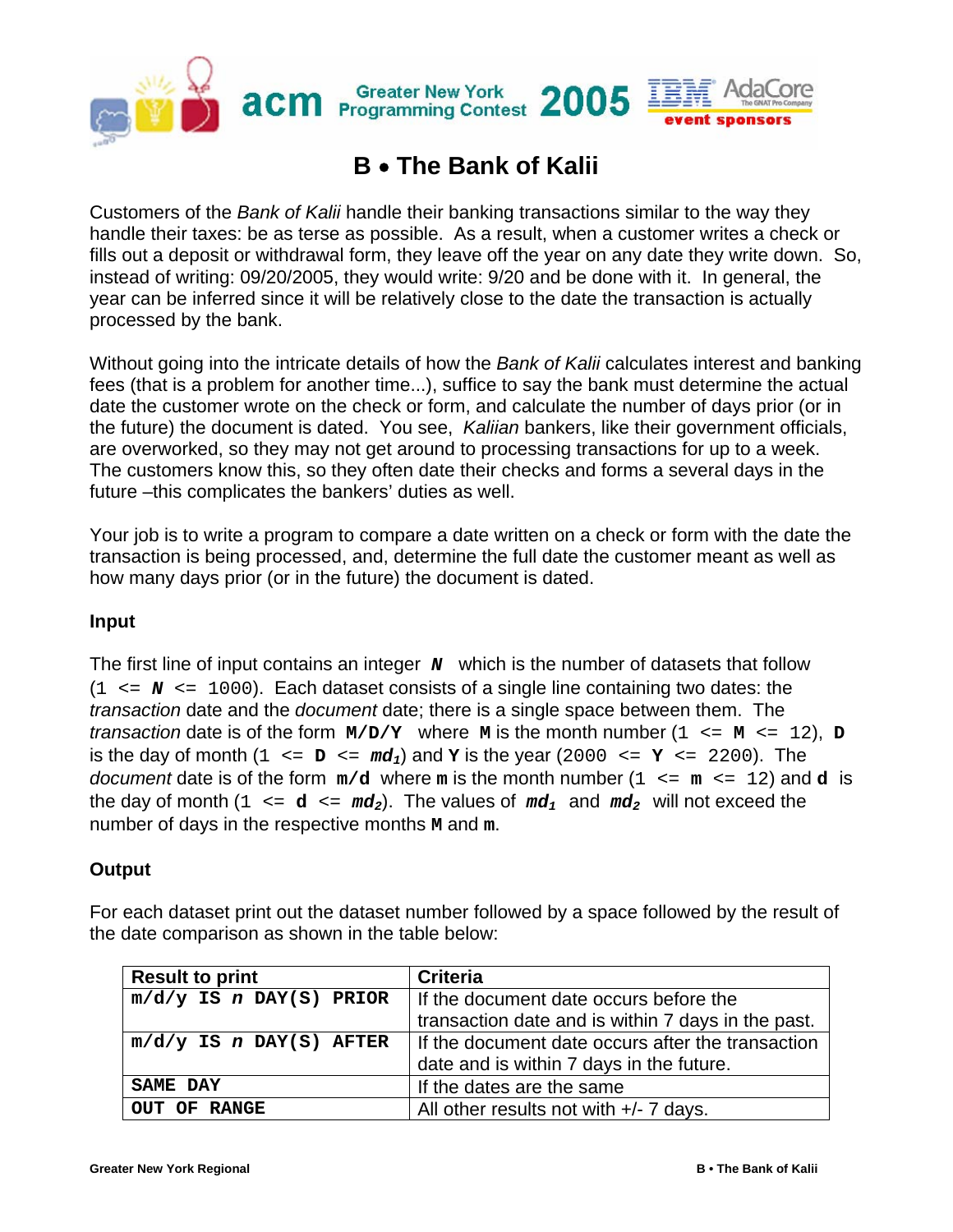

## **B** • **The Bank of Kalii**

Customers of the *Bank of Kalii* handle their banking transactions similar to the way they handle their taxes: be as terse as possible. As a result, when a customer writes a check or fills out a deposit or withdrawal form, they leave off the year on any date they write down. So, instead of writing: 09/20/2005, they would write: 9/20 and be done with it. In general, the year can be inferred since it will be relatively close to the date the transaction is actually processed by the bank.

Without going into the intricate details of how the *Bank of Kalii* calculates interest and banking fees (that is a problem for another time...), suffice to say the bank must determine the actual date the customer wrote on the check or form, and calculate the number of days prior (or in the future) the document is dated. You see, *Kaliian* bankers, like their government officials, are overworked, so they may not get around to processing transactions for up to a week. The customers know this, so they often date their checks and forms a several days in the future –this complicates the bankers' duties as well.

Your job is to write a program to compare a date written on a check or form with the date the transaction is being processed, and, determine the full date the customer meant as well as how many days prior (or in the future) the document is dated.

## **Input**

The first line of input contains an integer **N** which is the number of datasets that follow  $(1 \leq N \leq 1000)$ . Each dataset consists of a single line containing two dates: the *transaction* date and the *document* date; there is a single space between them. The *transaction* date is of the form  $M/D/Y$  where M is the month number  $(1 \le M \le 12)$ , D is the day of month  $(1 \le p \le md_1)$  and **Y** is the year  $(2000 \le p \le 2200)$ . The *document* date is of the form  $m/d$  where m is the month number  $(1 \le m \le 12)$  and d is the day of month  $(1 \leq d \leq md_2)$ . The values of  $md_1$  and  $md_2$  will not exceed the number of days in the respective months **M** and **m**.

## **Output**

For each dataset print out the dataset number followed by a space followed by the result of the date comparison as shown in the table below:

| <b>Result to print</b>    | <b>Criteria</b>                                    |
|---------------------------|----------------------------------------------------|
| $m/d/y$ IS n DAY(S) PRIOR | If the document date occurs before the             |
|                           | transaction date and is within 7 days in the past. |
| $m/d/y$ IS n DAY(S) AFTER | If the document date occurs after the transaction  |
|                           | date and is within 7 days in the future.           |
| SAME DAY                  | If the dates are the same                          |
| OUT OF RANGE              | All other results not with $+/- 7$ days.           |